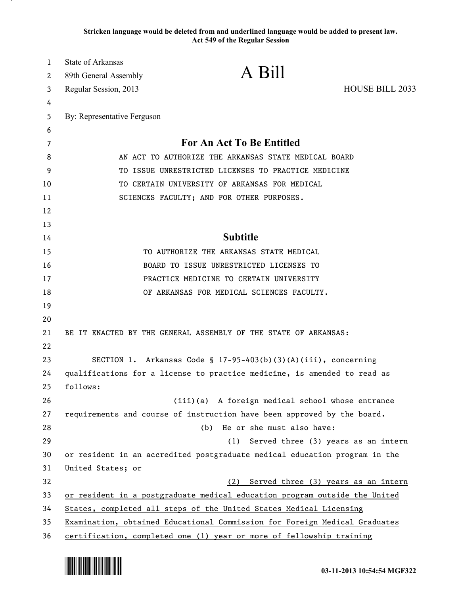**Stricken language would be deleted from and underlined language would be added to present law. Act 549 of the Regular Session**

| 1        | <b>State of Arkansas</b>                                                                                    | A Bill                                                                     |                                     |
|----------|-------------------------------------------------------------------------------------------------------------|----------------------------------------------------------------------------|-------------------------------------|
| 2        | 89th General Assembly                                                                                       |                                                                            |                                     |
| 3        | Regular Session, 2013                                                                                       |                                                                            | HOUSE BILL 2033                     |
| 4        |                                                                                                             |                                                                            |                                     |
| 5        | By: Representative Ferguson                                                                                 |                                                                            |                                     |
| 6        |                                                                                                             | <b>For An Act To Be Entitled</b>                                           |                                     |
| 7        |                                                                                                             |                                                                            |                                     |
| 8        | AN ACT TO AUTHORIZE THE ARKANSAS STATE MEDICAL BOARD<br>TO ISSUE UNRESTRICTED LICENSES TO PRACTICE MEDICINE |                                                                            |                                     |
| 9        |                                                                                                             |                                                                            |                                     |
| 10       |                                                                                                             | TO CERTAIN UNIVERSITY OF ARKANSAS FOR MEDICAL                              |                                     |
| 11       |                                                                                                             | SCIENCES FACULTY; AND FOR OTHER PURPOSES.                                  |                                     |
| 12<br>13 |                                                                                                             |                                                                            |                                     |
| 14       |                                                                                                             | <b>Subtitle</b>                                                            |                                     |
| 15       |                                                                                                             | TO AUTHORIZE THE ARKANSAS STATE MEDICAL                                    |                                     |
| 16       |                                                                                                             | BOARD TO ISSUE UNRESTRICTED LICENSES TO                                    |                                     |
| 17       |                                                                                                             | PRACTICE MEDICINE TO CERTAIN UNIVERSITY                                    |                                     |
| 18       |                                                                                                             | OF ARKANSAS FOR MEDICAL SCIENCES FACULTY.                                  |                                     |
| 19       |                                                                                                             |                                                                            |                                     |
| 20       |                                                                                                             |                                                                            |                                     |
| 21       |                                                                                                             | BE IT ENACTED BY THE GENERAL ASSEMBLY OF THE STATE OF ARKANSAS:            |                                     |
| 22       |                                                                                                             |                                                                            |                                     |
| 23       |                                                                                                             | SECTION 1. Arkansas Code § 17-95-403(b)(3)(A)(iii), concerning             |                                     |
| 24       |                                                                                                             | qualifications for a license to practice medicine, is amended to read as   |                                     |
| 25       | follows:                                                                                                    |                                                                            |                                     |
| 26       |                                                                                                             | (iii)(a) A foreign medical school whose entrance                           |                                     |
| 27       |                                                                                                             | requirements and course of instruction have been approved by the board.    |                                     |
| 28       |                                                                                                             | He or she must also have:<br>(b)                                           |                                     |
| 29       |                                                                                                             | (1)                                                                        | Served three (3) years as an intern |
| 30       |                                                                                                             | or resident in an accredited postgraduate medical education program in the |                                     |
| 31       | United States; or                                                                                           |                                                                            |                                     |
| 32       |                                                                                                             | (2)                                                                        | Served three (3) years as an intern |
| 33       |                                                                                                             | or resident in a postgraduate medical education program outside the United |                                     |
| 34       |                                                                                                             | States, completed all steps of the United States Medical Licensing         |                                     |
| 35       |                                                                                                             | Examination, obtained Educational Commission for Foreign Medical Graduates |                                     |
| 36       |                                                                                                             | certification, completed one (1) year or more of fellowship training       |                                     |